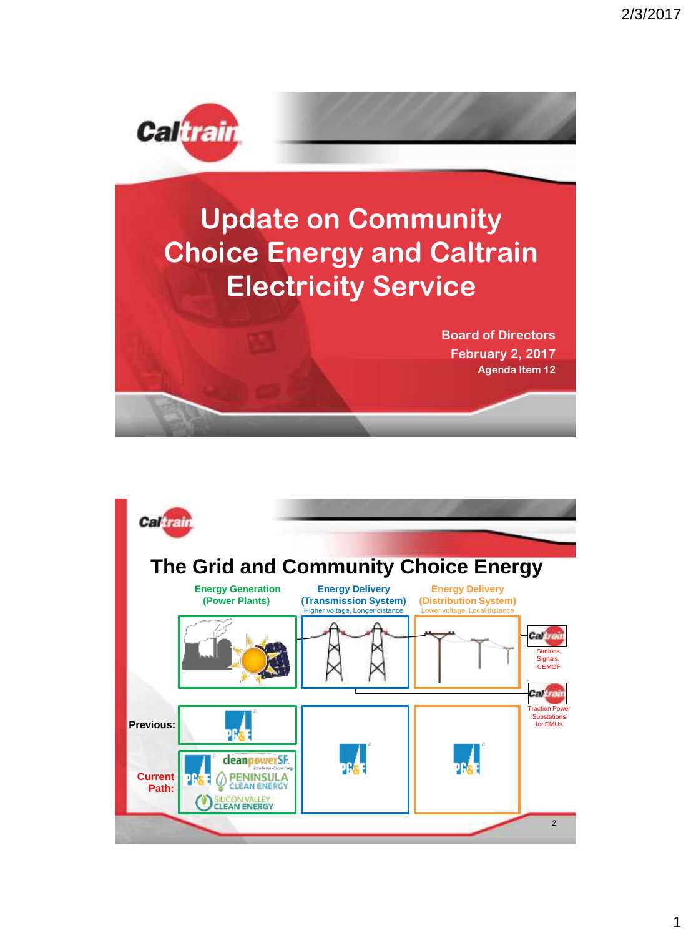

## **Update on Community Choice Energy and Caltrain Electricity Service**

**Board of Directors February 2, 2017 Agenda Item 12**

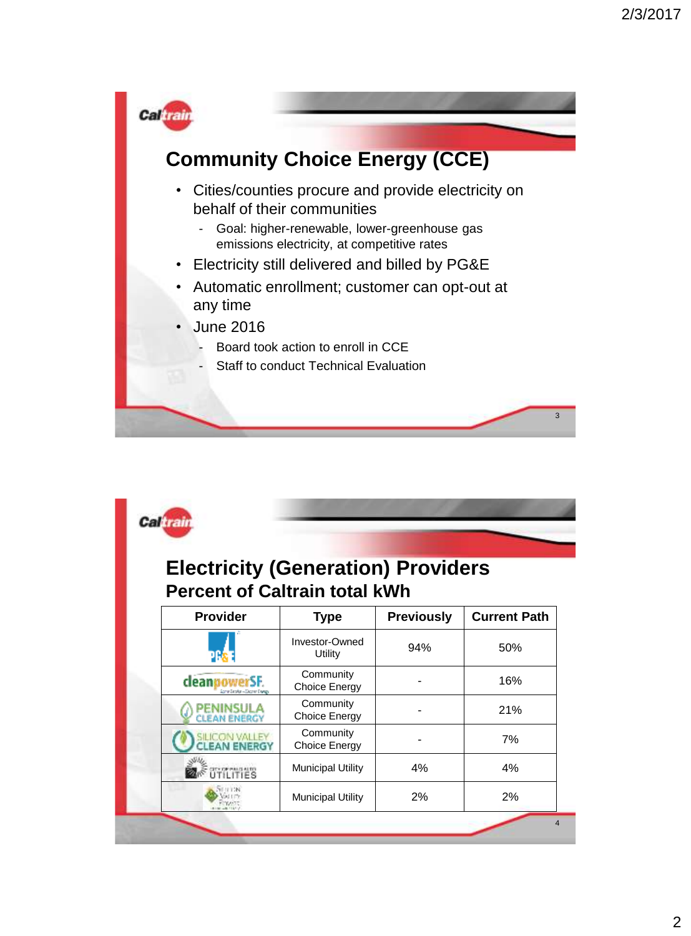

|                                     | <b>Percent of Caltrain total kWh</b> |                   |                     |
|-------------------------------------|--------------------------------------|-------------------|---------------------|
| <b>Provider</b>                     | <b>Type</b>                          | <b>Previously</b> | <b>Current Path</b> |
|                                     | Investor-Owned<br>Utility            | 94%               | 50%                 |
| deanpowerSF.<br>lanın Sərəkə - Cəci | Community<br><b>Choice Energy</b>    |                   | 16%                 |
| <b>LEAN ENERGY</b>                  | Community<br><b>Choice Energy</b>    |                   | 21%                 |
| <b>CIN VALLEY</b><br>EAN ENERGY     | Community<br><b>Choice Energy</b>    |                   | 7%                  |
| LITIES                              | <b>Municipal Utility</b>             | 4%                | 4%                  |
|                                     | <b>Municipal Utility</b>             | 2%                | 2%                  |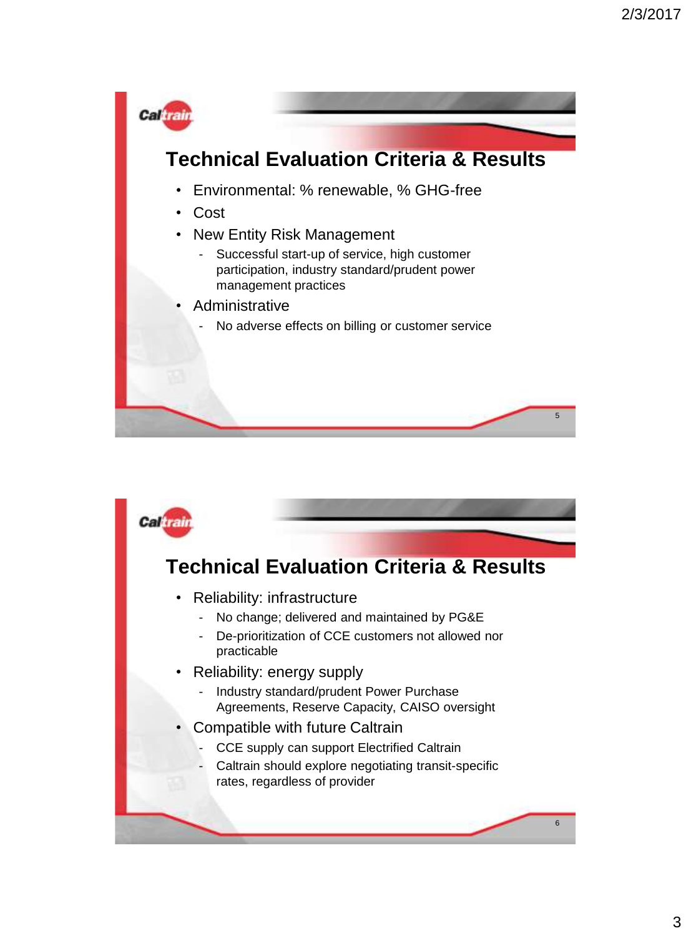

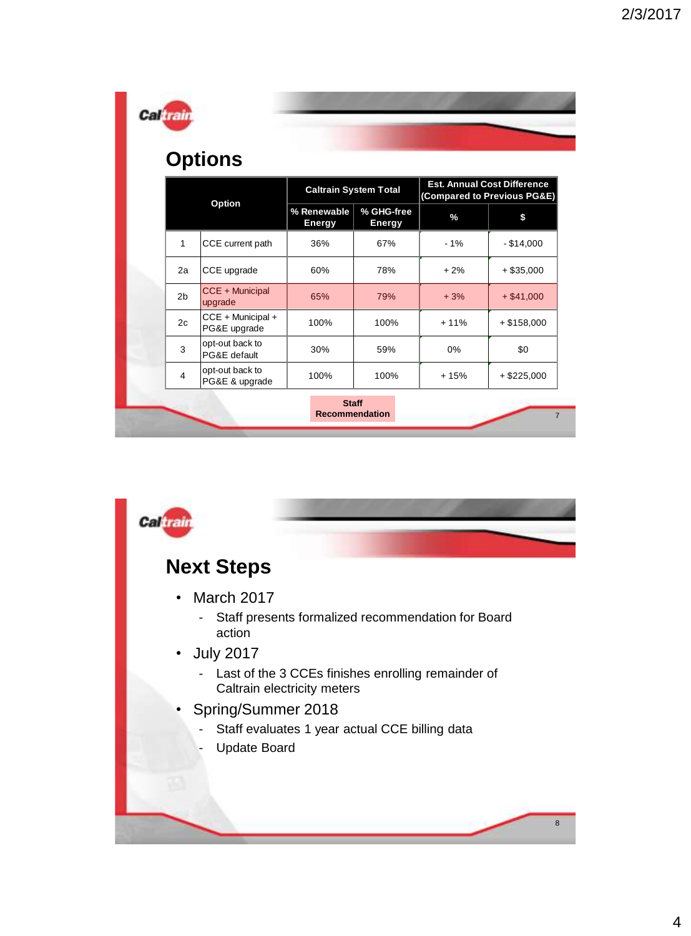|                | <b>Options</b>                    | <b>Caltrain System Total</b> |                             | <b>Est. Annual Cost Difference</b>  |               |
|----------------|-----------------------------------|------------------------------|-----------------------------|-------------------------------------|---------------|
| Option         |                                   | % Renewable<br><b>Energy</b> | % GHG-free<br><b>Energy</b> | (Compared to Previous PG&E)<br>$\%$ | \$            |
| $\mathbf{1}$   | CCE current path                  | 36%                          | 67%                         | $-1%$                               | $-$ \$14,000  |
| 2a             | CCE upgrade                       | 60%                          | 78%                         | $+2%$                               | $+$ \$35,000  |
| 2 <sub>b</sub> | CCE + Municipal<br>upgrade        | 65%                          | 79%                         | $+3%$                               | $+ $41,000$   |
| 2c             | CCE + Municipal +<br>PG&E upgrade | 100%                         | 100%                        | $+11%$                              | $+ $158,000$  |
| 3              | opt-out back to<br>PG&E default   | 30%                          | 59%                         | 0%                                  | \$0           |
| 4              | opt-out back to<br>PG&E & upgrade | 100%                         | 100%                        | $+15%$                              | $+$ \$225,000 |

m l